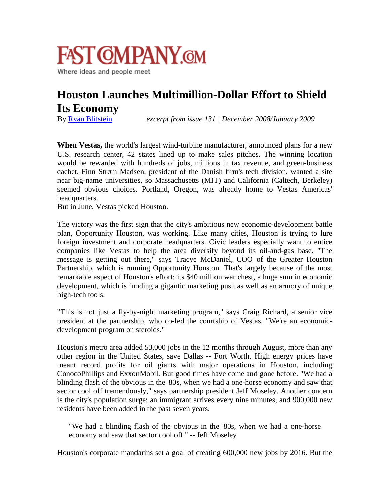

## **Houston Launches Multimillion-Dollar Effort to Shield Its Economy**

By [Ryan Blitstein](http://www.fastcompany.com/user/fast-company-staff) *excerpt from issue 131 | December 2008/January 2009* 

**When Vestas,** the world's largest wind-turbine manufacturer, announced plans for a new U.S. research center, 42 states lined up to make sales pitches. The winning location would be rewarded with hundreds of jobs, millions in tax revenue, and green-business cachet. Finn Strøm Madsen, president of the Danish firm's tech division, wanted a site near big-name universities, so Massachusetts (MIT) and California (Caltech, Berkeley) seemed obvious choices. Portland, Oregon, was already home to Vestas Americas' headquarters.

But in June, Vestas picked Houston.

The victory was the first sign that the city's ambitious new economic-development battle plan, Opportunity Houston, was working. Like many cities, Houston is trying to lure foreign investment and corporate headquarters. Civic leaders especially want to entice companies like Vestas to help the area diversify beyond its oil-and-gas base. "The message is getting out there," says Tracye McDaniel, COO of the Greater Houston Partnership, which is running Opportunity Houston. That's largely because of the most remarkable aspect of Houston's effort: its \$40 million war chest, a huge sum in economic development, which is funding a gigantic marketing push as well as an armory of unique high-tech tools.

"This is not just a fly-by-night marketing program," says Craig Richard, a senior vice president at the partnership, who co-led the courtship of Vestas. "We're an economicdevelopment program on steroids."

Houston's metro area added 53,000 jobs in the 12 months through August, more than any other region in the United States, save Dallas -- Fort Worth. High energy prices have meant record profits for oil giants with major operations in Houston, including ConocoPhillips and ExxonMobil. But good times have come and gone before. "We had a blinding flash of the obvious in the '80s, when we had a one-horse economy and saw that sector cool off tremendously," says partnership president Jeff Moseley. Another concern is the city's population surge; an immigrant arrives every nine minutes, and 900,000 new residents have been added in the past seven years.

"We had a blinding flash of the obvious in the '80s, when we had a one-horse economy and saw that sector cool off." -- Jeff Moseley

Houston's corporate mandarins set a goal of creating 600,000 new jobs by 2016. But the